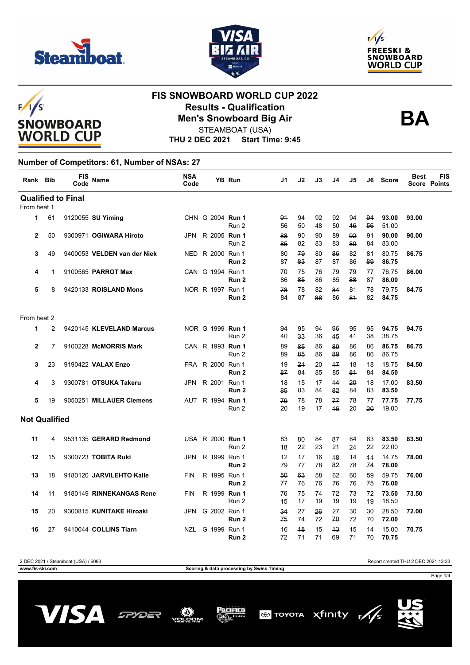

 $F/I/S$ 





# **SNOWBOARD WORLD CUP**

### **FIS SNOWBOARD WORLD CUP 2022 Results - Qualification Men's Snowboard Big Air**



STEAMBOAT (USA)

**THU 2 DEC 2021 Start Time: 9:45**

#### **Number of Competitors: 61, Number of NSAs: 27**

| Rank Bib             |                | <b>FIS</b><br>Code        | <b>Name</b>                 | <b>NSA</b><br>Code | <b>YB Run</b>                        | J1       | J2       | J3       | J4         | J5       | J6       | <b>Score</b>   | <b>Best</b> | <b>FIS</b><br><b>Score Points</b> |
|----------------------|----------------|---------------------------|-----------------------------|--------------------|--------------------------------------|----------|----------|----------|------------|----------|----------|----------------|-------------|-----------------------------------|
|                      |                | <b>Qualified to Final</b> |                             |                    |                                      |          |          |          |            |          |          |                |             |                                   |
| From heat 1          |                |                           |                             |                    |                                      |          |          |          |            |          |          |                |             |                                   |
| 1                    | 61             |                           | 9120055 SU Yiming           |                    | CHN G 2004 Run 1<br>Run 2            | 94<br>56 | 94<br>50 | 92<br>48 | 92<br>50   | 94<br>46 | 94<br>56 | 93.00<br>51.00 | 93.00       |                                   |
| $\overline{2}$       | 50             |                           | 9300971 OGIWARA Hiroto      |                    | JPN R 2005 Run 1<br>Run 2            | 88<br>85 | 90<br>82 | 90<br>83 | 89<br>83   | 92<br>80 | 91<br>84 | 90.00<br>83.00 | 90.00       |                                   |
| 3                    | 49             |                           | 9400053 VELDEN van der Niek |                    | NED R 2000 Run 1<br>Run 2            | 80<br>87 | 79<br>83 | 80<br>87 | 86<br>87   | 82<br>86 | 81<br>89 | 80.75<br>86.75 | 86.75       |                                   |
| 4                    | $\mathbf{1}$   |                           | 9100565 PARROT Max          |                    | CAN G 1994 Run 1<br>Run <sub>2</sub> | 70<br>86 | 75<br>85 | 76<br>86 | 79<br>85   | 79<br>88 | 77<br>87 | 76.75<br>86.00 | 86.00       |                                   |
| 5                    | 8              |                           | 9420133 ROISLAND Mons       |                    | NOR R 1997 Run 1<br>Run 2            | 78<br>84 | 78<br>87 | 82<br>88 | 84<br>86   | 81<br>81 | 78<br>82 | 79.75<br>84.75 | 84.75       |                                   |
| From heat 2          |                |                           |                             |                    |                                      |          |          |          |            |          |          |                |             |                                   |
| 1                    | $\overline{2}$ |                           | 9420145 KLEVELAND Marcus    |                    | NOR G 1999 Run 1<br>Run 2            | 94<br>40 | 95<br>33 | 94<br>36 | 96<br>45   | 95<br>41 | 95<br>38 | 94.75<br>38.75 | 94.75       |                                   |
| 2                    | $\overline{7}$ |                           | 9100228 McMORRIS Mark       |                    | CAN R 1993 Run 1<br>Run 2            | 89<br>89 | 85<br>85 | 86<br>86 | 89<br>89   | 86<br>86 | 86<br>86 | 86.75<br>86.75 | 86.75       |                                   |
| 3                    | 23             |                           | 9190422 VALAX Enzo          |                    | FRA R 2000 Run 1<br>Run <sub>2</sub> | 19<br>87 | 24<br>84 | 20<br>85 | $+7$<br>85 | 18<br>81 | 18<br>84 | 18.75<br>84.50 | 84.50       |                                   |
| 4                    | 3              |                           | 9300781 OTSUKA Takeru       | JPN                | R 2001 Run 1<br>Run 2                | 18<br>85 | 15<br>83 | 17<br>84 | 44<br>82   | 20<br>84 | 18<br>83 | 17.00<br>83.50 | 83.50       |                                   |
| 5                    | 19             |                           | 9050251 MILLAUER Clemens    |                    | AUT R 1994 Run 1<br>Run 2            | 79<br>20 | 78<br>19 | 78<br>17 | 77<br>46   | 78<br>20 | 77<br>20 | 77.75<br>19.00 | 77.75       |                                   |
| <b>Not Qualified</b> |                |                           |                             |                    |                                      |          |          |          |            |          |          |                |             |                                   |
| 11                   | 4              |                           | 9531135 GERARD Redmond      |                    | USA R 2000 Run 1<br>Run 2            | 83<br>48 | 80<br>22 | 84<br>23 | 87<br>21   | 84<br>24 | 83<br>22 | 83.50<br>22.00 | 83.50       |                                   |
| 12                   | 15             |                           | 9300723 TOBITA Ruki         | <b>JPN</b>         | R 1999 Run 1<br>Run 2                | 12<br>79 | 17<br>77 | 16<br>78 | 48<br>82   | 14<br>78 | 44<br>74 | 14.75<br>78.00 | 78.00       |                                   |
| 13                   | 18             |                           | 9180120 JARVILEHTO Kalle    | <b>FIN</b>         | R 1995 Run 1<br>Run <sub>2</sub>     | 50<br>77 | 63<br>76 | 58<br>76 | 62<br>76   | 60<br>76 | 59<br>75 | 59.75<br>76.00 | 76.00       |                                   |
| 14                   | 11             |                           | 9180149 RINNEKANGAS Rene    | <b>FIN</b>         | R 1999 Run 1<br>Run 2                | 76<br>45 | 75<br>17 | 74<br>19 | 72<br>19   | 73<br>19 | 72<br>49 | 73.50<br>18.50 | 73.50       |                                   |
| 15                   | 20             |                           | 9300815 KUNITAKE Hiroaki    | <b>JPN</b>         | G 2002 Run 1<br>Run 2                | 34<br>75 | 27<br>74 | 26<br>72 | 27<br>70   | 30<br>72 | 30<br>70 | 28.50<br>72.00 | 72.00       |                                   |
| 16                   | 27             |                           | 9410044 COLLINS Tiarn       |                    | NZL G 1999 Run 1<br>Run 2            | 16<br>72 | 48<br>71 | 15<br>71 | 43<br>69   | 15<br>71 | 14<br>70 | 15.00<br>70.75 | 70.75       |                                   |

2 DEC 2021 / Steamboat (USA) / 6093 Report created THU 2 DEC 2021 13:33

Page 1/4







Pacifico



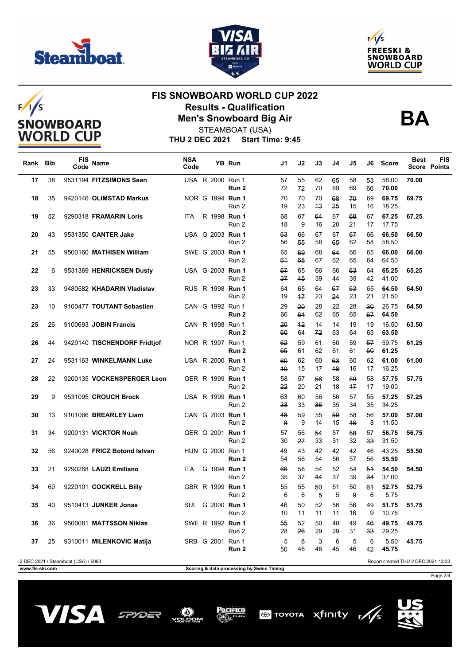

 $F/1/S$ 





# **SNOWBOARD WORLD CUP**

#### **FIS SNOWBOARD WORLD CUP 2022 Results - Qualification Men's Snowboard Big Air**



STEAMBOAT (USA)

| <b>THU 2 DEC 2021</b> | Start Time: 9:45 |
|-----------------------|------------------|
|                       |                  |

| Rank | Bib | FIS<br>Code                         | <b>Name</b>                  | <b>NSA</b><br>Code |  | YB Run                           | J1       | J2         | J3                            | J4       | J5       | J6                    | <b>Score</b>                        | <b>Best</b> | FIS<br><b>Score Points</b> |
|------|-----|-------------------------------------|------------------------------|--------------------|--|----------------------------------|----------|------------|-------------------------------|----------|----------|-----------------------|-------------------------------------|-------------|----------------------------|
| 17   | 38  |                                     | 9531194 FITZSIMONS Sean      |                    |  | USA R 2000 Run 1<br>Run 2        | 57<br>72 | 55<br>72   | 62<br>70                      | 65<br>69 | 58<br>69 | 53<br>66              | 58.00<br>70.00                      | 70.00       |                            |
| 18   | 35  |                                     | 9420146 OLIMSTAD Markus      |                    |  | NOR G 1994 Run 1<br>Run 2        | 70<br>19 | 70<br>23   | 70<br>43                      | 68<br>25 | 70<br>15 | 69<br>16              | 69.75<br>18.25                      | 69.75       |                            |
| 19   | 52  |                                     | 9290318 FRAMARIN Loris       | ITA.               |  | R 1998 Run 1<br>Run 2            | 68<br>18 | 67<br>9    | 64<br>16                      | 67<br>20 | 68<br>21 | 67<br>17              | 67.25<br>17.75                      | 67.25       |                            |
| 20   | 43  |                                     | 9531350 CANTER Jake          |                    |  | USA G 2003 Run 1<br>Run 2        | 63<br>56 | 66<br>55   | 67<br>58                      | 67<br>65 | 67<br>62 | 66<br>58              | 66.50<br>58.50                      | 66.50       |                            |
| 21   | 55  |                                     | 9500160 MATHISEN William     |                    |  | SWE G 2003 Run 1<br>Run 2        | 65<br>61 | 69<br>68   | 68<br>67                      | 64<br>62 | 66<br>65 | 65<br>64              | 66.00<br>64.50                      | 66.00       |                            |
| 22   | 6   |                                     | 9531369 HENRICKSEN Dusty     |                    |  | USA G 2003 Run 1<br>Run 2        | 67<br>37 | 65<br>45   | 66<br>39                      | 66<br>44 | 63<br>39 | 64<br>42              | 65.25<br>41.00                      | 65.25       |                            |
| 23   | 33  |                                     | 9480582 KHADARIN Vladislav   |                    |  | RUS R 1998 <b>Run 1</b><br>Run 2 | 64<br>19 | 65<br>$+7$ | 64<br>23                      | 67<br>24 | 63<br>23 | 65<br>21              | 64.50<br>21.50                      | 64.50       |                            |
| 23   | 10  |                                     | 9100477 TOUTANT Sebastien    |                    |  | CAN G 1992 Run 1<br>Run 2        | 29<br>66 | 20<br>61   | 28<br>62                      | 22<br>65 | 28<br>65 | $30^{\circ}$<br>67    | 26.75<br>64.50                      | 64.50       |                            |
| 25   | 26  |                                     | 9100693 JOBIN Francis        |                    |  | CAN R 1998 Run 1<br>Run 2        | 20<br>60 | 42<br>64   | 14<br>72                      | 14<br>63 | 19<br>64 | 19<br>63              | 16.50<br>63.50                      | 63.50       |                            |
| 26   | 44  |                                     | 9420140 TISCHENDORF Fridtjof |                    |  | NOR R 1997 Run 1<br>Run 2        | 62<br>65 | 59<br>61   | 61<br>62                      | 60<br>61 | 59<br>61 | 57<br>60              | 59.75<br>61.25                      | 61.25       |                            |
| 27   | 24  |                                     | 9531163 WINKELMANN Luke      |                    |  | USA R 2000 <b>Run 1</b><br>Run 2 | 60<br>40 | 62<br>15   | 60<br>17                      | 63<br>48 | 60<br>16 | 62<br>17              | 61.00<br>16.25                      | 61.00       |                            |
| 28   | 22  |                                     | 9200135 VOCKENSPERGER Leon   |                    |  | GER R 1999 Run 1<br>Run 2        | 58<br>22 | 57<br>20   | 56<br>21                      | 58<br>18 | 59<br>47 | 58<br>17              | 57.75<br>19.00                      | 57.75       |                            |
| 29   | 9   |                                     | 9531095 CROUCH Brock         |                    |  | USA R 1999 Run 1<br>Run 2        | 63<br>33 | 60<br>33   | 56<br>36                      | 56<br>35 | 57<br>34 | 55<br>35              | 57.25<br>34.25                      | 57.25       |                            |
| 30   | 13  |                                     | 9101066 BREARLEY Liam        |                    |  | CAN G 2003 Run 1<br>Run 2        | 48<br>8  | 59<br>9    | 55<br>14                      | 59<br>15 | 58<br>46 | 56<br>8               | 57.00<br>11.50                      | 57.00       |                            |
| 31   | 34  |                                     | 9200131 VICKTOR Noah         |                    |  | GER G 2001 Run 1<br>Run 2        | 57<br>30 | 56<br>27   | 54<br>33                      | 57<br>31 | 58<br>32 | 57<br>33              | 56.75<br>31.50                      | 56.75       |                            |
| 32   | 56  |                                     | 9240028 FRICZ Botond Istvan  |                    |  | HUN G 2000 Run 1<br>Run 2        | 49<br>54 | 43<br>56   | 42<br>54                      | 42<br>56 | 42<br>57 | 46<br>56              | 43.25<br>55.50                      | 55.50       |                            |
| 33   | 21  |                                     | 9290268 LAUZI Emiliano       | <b>ITA</b>         |  | G 1994 Run 1<br>Run 2            | 66<br>35 | 58<br>37   | 54<br>44                      | 52<br>37 | 54<br>39 | 54<br>34              | 54.50<br>37.00                      | 54.50       |                            |
| 34   | 60  |                                     | 9220101 COCKRELL Billy       |                    |  | GBR R 1999 Run 1<br>Run 2        | 55<br>6  | 55<br>6    | 50<br>5                       | 51<br>5  | 50<br>9  | 61<br>6               | 52.75<br>5.75                       | 52.75       |                            |
| 35   | 40  |                                     | 9510413 JUNKER Jonas         | SUI                |  | G 2000 Run 1<br>Run 2            | 46<br>10 | 50<br>11   | 52<br>11                      | 56<br>11 | 56<br>46 | 49<br>9               | 51.75<br>10.75                      | 51.75       |                            |
| 36   | 36  |                                     | 9500081 MATTSSON Niklas      |                    |  | SWE R 1992 Run 1<br>Run 2        | 55<br>28 | 52<br>26   | 50<br>29                      | 48<br>29 | 49<br>31 | 46<br>33 <sub>o</sub> | 49.75<br>29.25                      | 49.75       |                            |
| 37   | 25  |                                     | 9310011 MILENKOVIC Matija    |                    |  | SRB G 2001 Run 1<br>Run 2        | 5<br>50  | 8<br>46    | $\overline{\mathbf{3}}$<br>46 | 6<br>45  | 5<br>46  | 6<br>42               | 5.50<br>45.75                       | 45.75       |                            |
|      |     | 2 DEC 2021 / Steamboat (USA) / 6093 |                              |                    |  |                                  |          |            |                               |          |          |                       | Report created THU 2 DEC 2021 13:33 |             |                            |

**www.fis-ski.com Scoring & data processing by Swiss Timing**

Page 2/4







PACIFICO





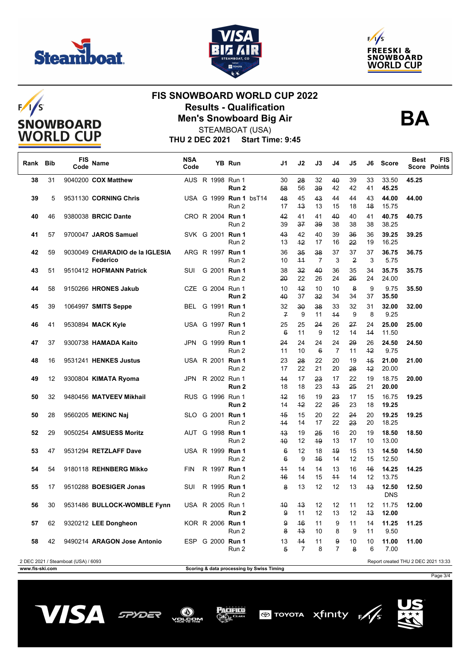

 $F/I/S$ 

**SNOWBOARD WORLD CUP** 





### **FIS SNOWBOARD WORLD CUP 2022 Results - Qualification Men's Snowboard Big Air**



STEAMBOAT (USA)

**THU 2 DEC 2021 Start Time: 9:45**

| Rank Bib        |    | FIS<br>Code                         | Name                                        | <b>NSA</b><br>Code |  | YB Run                                    | J1                    | J2         | J3                          | J4         | J5       | J6         | <b>Score</b>                        | <b>Best</b> | <b>FIS</b><br><b>Score Points</b> |
|-----------------|----|-------------------------------------|---------------------------------------------|--------------------|--|-------------------------------------------|-----------------------|------------|-----------------------------|------------|----------|------------|-------------------------------------|-------------|-----------------------------------|
| 38              | 31 |                                     | 9040200 COX Matthew                         |                    |  | AUS R 1998 Run 1<br>Run 2                 | 30<br>58              | 28<br>56   | 32<br>39                    | 40<br>42   | 39<br>42 | 33<br>41   | 33.50<br>45.25                      | 45.25       |                                   |
| 39              | 5  |                                     | 9531130 CORNING Chris                       |                    |  | USA G 1999 Run 1 bsT14<br>Run 2           | 48<br>17              | 45<br>43   | 43<br>13                    | 44<br>15   | 44<br>18 | 43<br>48   | 44.00<br>15.75                      | 44.00       |                                   |
| 40              | 46 |                                     | 9380038 BRCIC Dante                         |                    |  | CRO R 2004 Run 1<br>Run 2                 | 42<br>39              | 41<br>37   | 41<br>39                    | 40<br>38   | 40<br>38 | 41<br>38   | 40.75<br>38.25                      | 40.75       |                                   |
| 41              | 57 |                                     | 9700047 JAROS Samuel                        |                    |  | SVK G 2001 Run 1<br>Run 2                 | 43<br>13              | 42<br>42   | 40<br>17                    | 39<br>16   | 36<br>22 | 36<br>19   | 39.25<br>16.25                      | 39.25       |                                   |
| 42              | 59 |                                     | 9030049 CHIARADIO de la IGLESIA<br>Federico |                    |  | ARG R 1997 Run 1<br>Run 2                 | 36<br>10              | 35<br>44   | 38<br>7                     | 37<br>3    | 37<br>2  | 37<br>3    | 36.75<br>5.75                       | 36.75       |                                   |
| 43              | 51 |                                     | 9510412 HOFMANN Patrick                     | <b>SUI</b>         |  | G 2001 Run 1<br>Run 2                     | 38<br>20              | 32<br>22   | 40<br>26                    | 36<br>24   | 35<br>26 | 34<br>24   | 35.75<br>24.00                      | 35.75       |                                   |
| 44              | 58 |                                     | 9150266 HRONES Jakub                        |                    |  | CZE G 2004 Run 1<br>Run 2                 | 10<br>40              | $+2$<br>37 | 10<br>32                    | 10<br>34   | 8<br>34  | 9<br>37    | 9.75<br>35.50                       | 35.50       |                                   |
| 45              | 39 |                                     | 1064997 SMITS Seppe                         |                    |  | BEL G 1991 Run 1<br>Run 2                 | 32<br>$\overline{f}$  | 30<br>9    | 38<br>11                    | 33<br>44   | 32<br>9  | 31<br>8    | 32.00<br>9.25                       | 32.00       |                                   |
| 46              | 41 |                                     | 9530894 MACK Kyle                           |                    |  | USA G 1997 Run 1<br>Run 2                 | 25<br>$6\overline{6}$ | 25<br>11   | 24<br>9                     | 26<br>12   | 27<br>14 | 24<br>44   | 25.00<br>11.50                      | 25.00       |                                   |
| 47              | 37 |                                     | 9300738 HAMADA Kaito                        |                    |  | JPN G 1999 Run 1<br>Run 2                 | 24<br>11              | 24<br>10   | 24<br>$\boldsymbol{\theta}$ | 24<br>7    | 29<br>11 | 26<br>$+2$ | 24.50<br>9.75                       | 24.50       |                                   |
| 48              | 16 |                                     | 9531241 HENKES Justus                       |                    |  | USA R 2001 Run 1<br>Run 2                 | 23<br>17              | 28<br>22   | 22<br>21                    | 20<br>20   | 19<br>28 | 45<br>$+2$ | 21.00<br>20.00                      | 21.00       |                                   |
| 49              | 12 |                                     | 9300804 KIMATA Ryoma                        |                    |  | JPN R 2002 Run 1<br>Run 2                 | 44<br>18              | 17<br>18   | 23<br>23                    | 17<br>43   | 22<br>25 | 19<br>21   | 18.75<br>20.00                      | 20.00       |                                   |
| 50              | 32 |                                     | 9480456 MATVEEV Mikhail                     |                    |  | RUS G 1996 Run 1<br>Run 2                 | $+2$<br>14            | 16<br>$+2$ | 19<br>22                    | 23<br>25   | 17<br>23 | 15<br>18   | 16.75<br>19.25                      | 19.25       |                                   |
| 50              | 28 |                                     | 9560205 MEKINC Naj                          |                    |  | SLO G 2001 Run 1<br>Run 2                 | 45<br>44              | 15<br>14   | 20<br>17                    | 22<br>22   | 24<br>23 | 20<br>20   | 19.25<br>18.25                      | 19.25       |                                   |
| 52              | 29 |                                     | 9050254 AMSUESS Moritz                      |                    |  | AUT G 1998 Run 1<br>Run 2                 | 43<br>40              | 19<br>12   | 25<br>49                    | 16<br>13   | 20<br>17 | 19<br>10   | 18.50<br>13.00                      | 18.50       |                                   |
| 53              | 47 |                                     | 9531294 RETZLAFF Dave                       |                    |  | USA R 1999 Run 1<br>Run 2                 | 6<br>6                | 12<br>9    | 18<br>46                    | 49<br>14   | 15<br>12 | 13<br>15   | 14.50<br>12.50                      | 14.50       |                                   |
| 54              | 54 |                                     | 9180118 REHNBERG Mikko                      | <b>FIN</b>         |  | R 1997 Run 1<br>Run 2                     | $+4$<br>46            | 14<br>14   | 14<br>15                    | 13<br>$+1$ | 16<br>14 | 46<br>12   | 14.25<br>13.75                      | 14.25       |                                   |
| 55              | 17 |                                     | 9510288 BOESIGER Jonas                      | SUI                |  | R 1995 Run 1<br>Run 2                     | 8                     | 13         | 12                          | 12         | 13       | 43         | 12.50<br><b>DNS</b>                 | 12.50       |                                   |
| 56              | 30 |                                     | 9531486 BULLOCK-WOMBLE Fynn                 |                    |  | USA R 2005 Run 1<br>Run 2                 | 40<br>9               | 43<br>11   | 12<br>12                    | 12<br>13   | 11<br>12 | 12<br>43   | 11.75<br>12.00                      | 12.00       |                                   |
| 57              | 62 |                                     | 9320212 LEE Dongheon                        |                    |  | KOR R 2006 Run 1<br>Run 2                 | 9<br>8                | 46<br>43   | 11<br>10                    | 9<br>8     | 11<br>9  | 14<br>11   | 11.25<br>9.50                       | 11.25       |                                   |
| 58              | 42 |                                     | 9490214 ARAGON Jose Antonio                 |                    |  | ESP G 2000 Run 1<br>Run 2                 | 13<br>5               | 44<br>7    | 11<br>8                     | 9<br>7     | 10<br>8  | 10<br>6    | 11.00<br>7.00                       | 11.00       |                                   |
| www.fis-ski.com |    | 2 DEC 2021 / Steamboat (USA) / 6093 |                                             |                    |  | Scoring & data processing by Swiss Timing |                       |            |                             |            |          |            | Report created THU 2 DEC 2021 13:33 |             |                                   |

**Scoring & data processing by Swiss Timing** 

Page 3/4







Pacifico